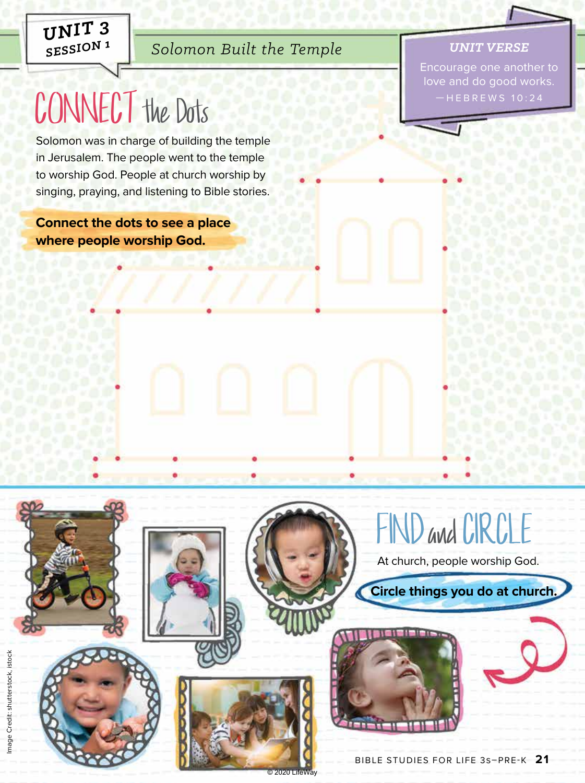*UNIT 3 SESSION 1*

# *Solomon Built the Temple*

#### *UNIT VERSE*

Encourage one another to love and do good works.  $-HEBREWS 10:24$ 

# CONNECT the Dots

Solomon was in charge of building the temple in Jerusalem. The people went to the temple to worship God. People at church worship by singing, praying, and listening to Bible stories.

**Connect the dots to see a place where people worship God.**



At church, people worship God.

**Circle things you do at church.**



© 2020 Li